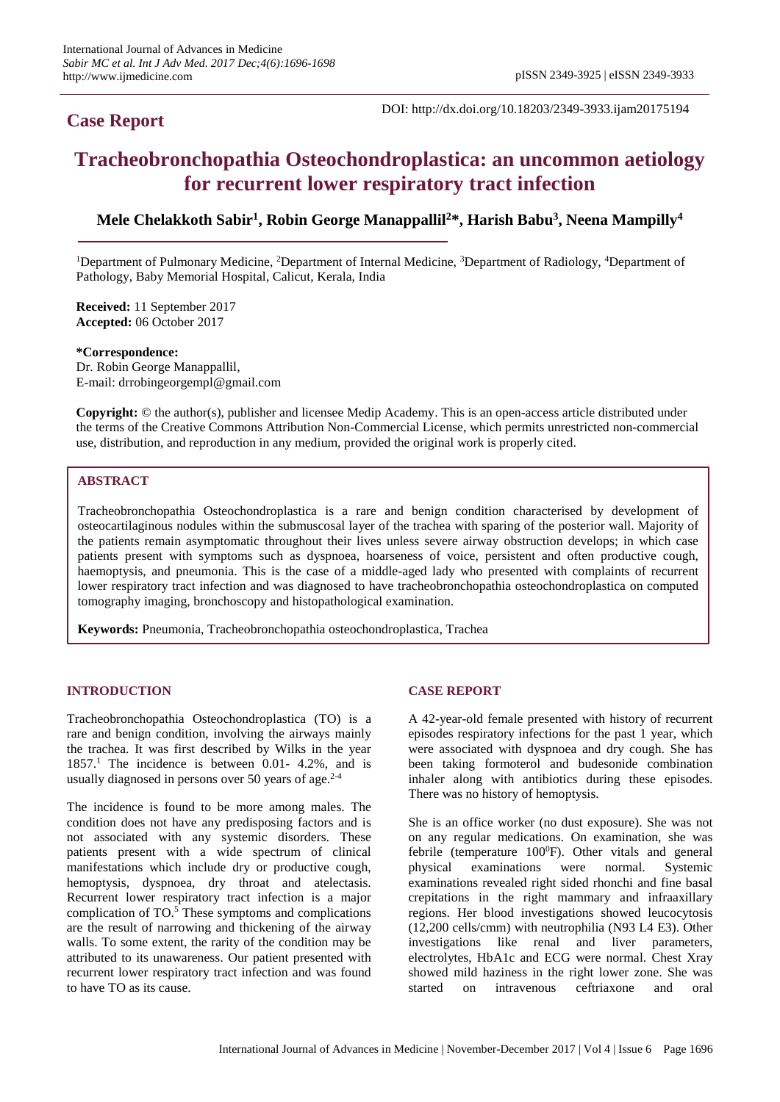# **Case Report**

DOI: http://dx.doi.org/10.18203/2349-3933.ijam20175194

# **Tracheobronchopathia Osteochondroplastica: an uncommon aetiology for recurrent lower respiratory tract infection**

# **Mele Chelakkoth Sabir<sup>1</sup> , Robin George Manappallil<sup>2</sup>\*, Harish Babu<sup>3</sup> , Neena Mampilly<sup>4</sup>**

<sup>1</sup>Department of Pulmonary Medicine, <sup>2</sup>Department of Internal Medicine, <sup>3</sup>Department of Radiology, <sup>4</sup>Department of Pathology, Baby Memorial Hospital, Calicut, Kerala, India

**Received:** 11 September 2017 **Accepted:** 06 October 2017

#### **\*Correspondence:**

Dr. Robin George Manappallil, E-mail: drrobingeorgempl@gmail.com

**Copyright:** © the author(s), publisher and licensee Medip Academy. This is an open-access article distributed under the terms of the Creative Commons Attribution Non-Commercial License, which permits unrestricted non-commercial use, distribution, and reproduction in any medium, provided the original work is properly cited.

# **ABSTRACT**

Tracheobronchopathia Osteochondroplastica is a rare and benign condition characterised by development of osteocartilaginous nodules within the submuscosal layer of the trachea with sparing of the posterior wall. Majority of the patients remain asymptomatic throughout their lives unless severe airway obstruction develops; in which case patients present with symptoms such as dyspnoea, hoarseness of voice, persistent and often productive cough, haemoptysis, and pneumonia. This is the case of a middle-aged lady who presented with complaints of recurrent lower respiratory tract infection and was diagnosed to have tracheobronchopathia osteochondroplastica on computed tomography imaging, bronchoscopy and histopathological examination.

**Keywords:** Pneumonia, Tracheobronchopathia osteochondroplastica, Trachea

#### **INTRODUCTION**

Tracheobronchopathia Osteochondroplastica (TO) is a rare and benign condition, involving the airways mainly the trachea. It was first described by Wilks in the year  $1857<sup>1</sup>$  The incidence is between 0.01- 4.2%, and is usually diagnosed in persons over 50 years of age. $2-4$ 

The incidence is found to be more among males. The condition does not have any predisposing factors and is not associated with any systemic disorders. These patients present with a wide spectrum of clinical manifestations which include dry or productive cough, hemoptysis, dyspnoea, dry throat and atelectasis. Recurrent lower respiratory tract infection is a major complication of TO.<sup>5</sup> These symptoms and complications are the result of narrowing and thickening of the airway walls. To some extent, the rarity of the condition may be attributed to its unawareness. Our patient presented with recurrent lower respiratory tract infection and was found to have TO as its cause.

#### **CASE REPORT**

A 42-year-old female presented with history of recurrent episodes respiratory infections for the past 1 year, which were associated with dyspnoea and dry cough. She has been taking formoterol and budesonide combination inhaler along with antibiotics during these episodes. There was no history of hemoptysis.

She is an office worker (no dust exposure). She was not on any regular medications. On examination, she was febrile (temperature 100<sup>0</sup>F). Other vitals and general physical examinations were normal. Systemic examinations revealed right sided rhonchi and fine basal crepitations in the right mammary and infraaxillary regions. Her blood investigations showed leucocytosis (12,200 cells/cmm) with neutrophilia (N93 L4 E3). Other investigations like renal and liver parameters, electrolytes, HbA1c and ECG were normal. Chest Xray showed mild haziness in the right lower zone. She was started on intravenous ceftriaxone and oral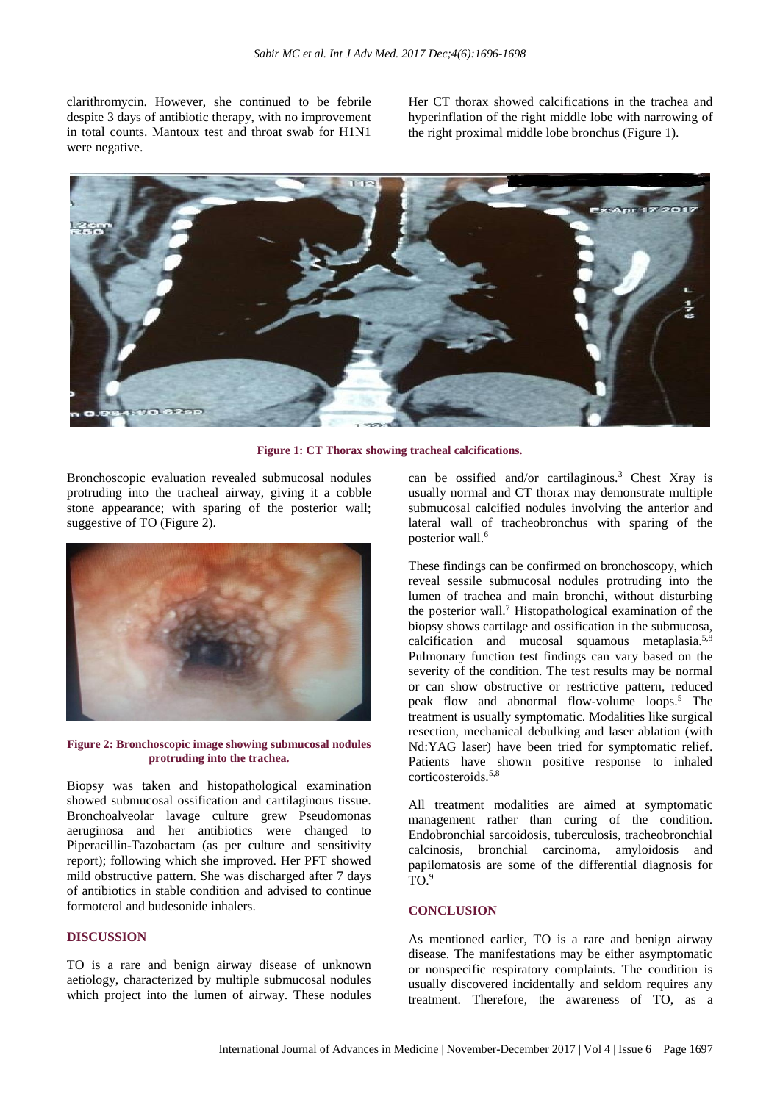clarithromycin. However, she continued to be febrile despite 3 days of antibiotic therapy, with no improvement in total counts. Mantoux test and throat swab for H1N1 were negative.

Her CT thorax showed calcifications in the trachea and hyperinflation of the right middle lobe with narrowing of the right proximal middle lobe bronchus (Figure 1).



**Figure 1: CT Thorax showing tracheal calcifications.**

Bronchoscopic evaluation revealed submucosal nodules protruding into the tracheal airway, giving it a cobble stone appearance; with sparing of the posterior wall; suggestive of TO (Figure 2).



**Figure 2: Bronchoscopic image showing submucosal nodules protruding into the trachea.**

Biopsy was taken and histopathological examination showed submucosal ossification and cartilaginous tissue. Bronchoalveolar lavage culture grew Pseudomonas aeruginosa and her antibiotics were changed to Piperacillin-Tazobactam (as per culture and sensitivity report); following which she improved. Her PFT showed mild obstructive pattern. She was discharged after 7 days of antibiotics in stable condition and advised to continue formoterol and budesonide inhalers.

# **DISCUSSION**

TO is a rare and benign airway disease of unknown aetiology, characterized by multiple submucosal nodules which project into the lumen of airway. These nodules can be ossified and/or cartilaginous.<sup>3</sup> Chest Xray is usually normal and CT thorax may demonstrate multiple submucosal calcified nodules involving the anterior and lateral wall of tracheobronchus with sparing of the posterior wall.<sup>6</sup>

These findings can be confirmed on bronchoscopy, which reveal sessile submucosal nodules protruding into the lumen of trachea and main bronchi, without disturbing the posterior wall.<sup>7</sup> Histopathological examination of the biopsy shows cartilage and ossification in the submucosa, calcification and mucosal squamous metaplasia.5,8 Pulmonary function test findings can vary based on the severity of the condition. The test results may be normal or can show obstructive or restrictive pattern, reduced peak flow and abnormal flow-volume loops.<sup>5</sup> The treatment is usually symptomatic. Modalities like surgical resection, mechanical debulking and laser ablation (with Nd:YAG laser) have been tried for symptomatic relief. Patients have shown positive response to inhaled corticosteroids.5,8

All treatment modalities are aimed at symptomatic management rather than curing of the condition. Endobronchial sarcoidosis, tuberculosis, tracheobronchial calcinosis, bronchial carcinoma, amyloidosis and papilomatosis are some of the differential diagnosis for  $\overline{TO}$ .

## **CONCLUSION**

As mentioned earlier, TO is a rare and benign airway disease. The manifestations may be either asymptomatic or nonspecific respiratory complaints. The condition is usually discovered incidentally and seldom requires any treatment. Therefore, the awareness of TO, as a